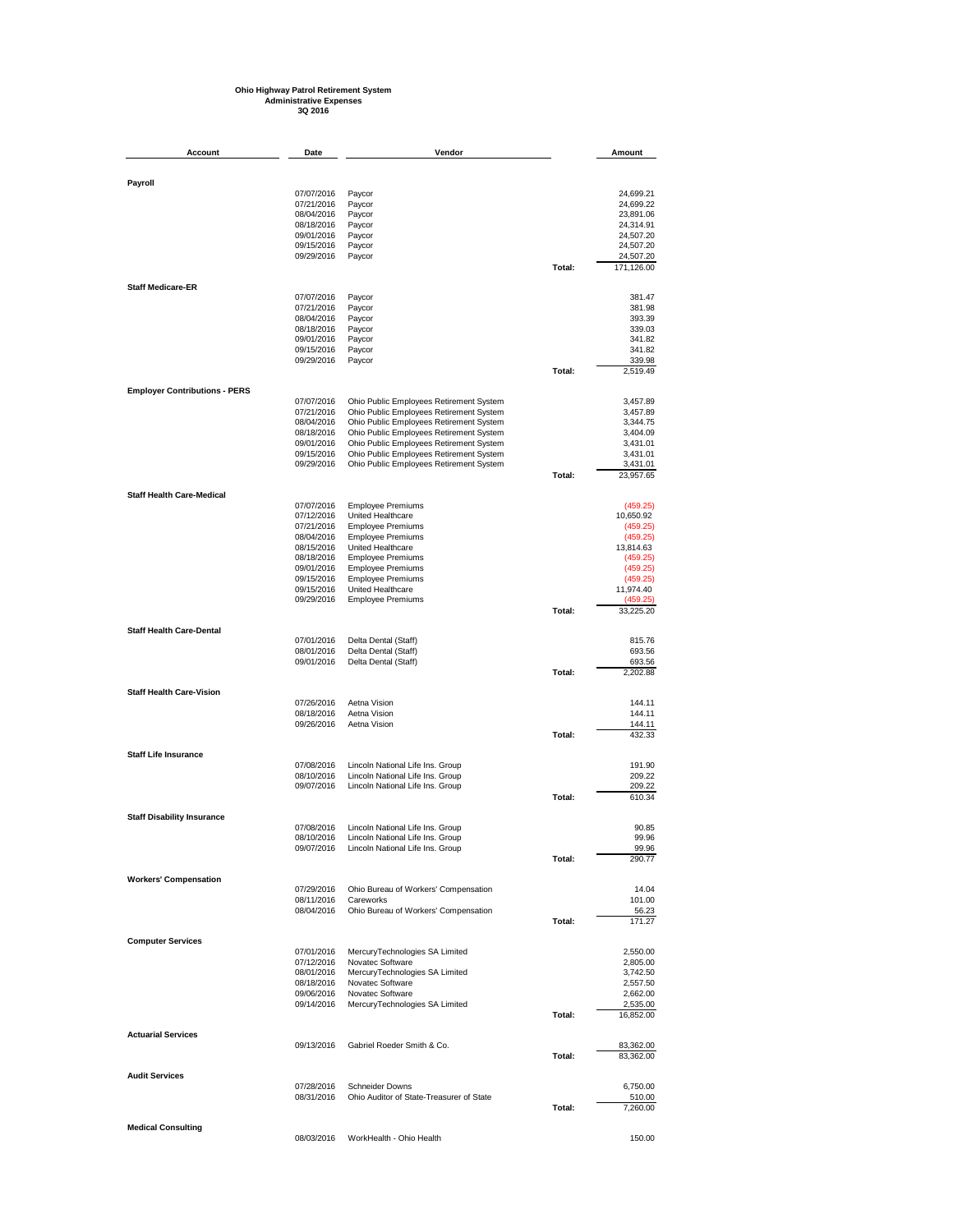## **Ohio Highway Patrol Retirement System Administrative Expenses 3Q 2016**

| Account                              | Date                     | Vendor                                                                             |        | Amount                 |
|--------------------------------------|--------------------------|------------------------------------------------------------------------------------|--------|------------------------|
|                                      |                          |                                                                                    |        |                        |
| Payroll                              |                          |                                                                                    |        |                        |
|                                      | 07/07/2016<br>07/21/2016 | Paycor<br>Paycor                                                                   |        | 24,699.21<br>24,699.22 |
|                                      | 08/04/2016               | Paycor                                                                             |        | 23,891.06              |
|                                      | 08/18/2016               | Paycor                                                                             |        | 24,314.91              |
|                                      | 09/01/2016<br>09/15/2016 | Paycor<br>Paycor                                                                   |        | 24,507.20<br>24,507.20 |
|                                      | 09/29/2016               | Paycor                                                                             |        | 24,507.20              |
|                                      |                          |                                                                                    | Total: | 171,126.00             |
| <b>Staff Medicare-ER</b>             |                          |                                                                                    |        |                        |
|                                      | 07/07/2016<br>07/21/2016 | Paycor<br>Paycor                                                                   |        | 381.47<br>381.98       |
|                                      | 08/04/2016               | Paycor                                                                             |        | 393.39                 |
|                                      | 08/18/2016               | Paycor                                                                             |        | 339.03                 |
|                                      | 09/01/2016<br>09/15/2016 | Paycor<br>Paycor                                                                   |        | 341.82<br>341.82       |
|                                      | 09/29/2016               | Paycor                                                                             |        | 339.98                 |
|                                      |                          |                                                                                    | Total: | 2,519.49               |
| <b>Employer Contributions - PERS</b> |                          |                                                                                    |        |                        |
|                                      | 07/07/2016               | Ohio Public Employees Retirement System                                            |        | 3,457.89               |
|                                      | 07/21/2016<br>08/04/2016 | Ohio Public Employees Retirement System<br>Ohio Public Employees Retirement System |        | 3,457.89<br>3,344.75   |
|                                      | 08/18/2016               | Ohio Public Employees Retirement System                                            |        | 3,404.09               |
|                                      | 09/01/2016               | Ohio Public Employees Retirement System                                            |        | 3,431.01               |
|                                      | 09/15/2016<br>09/29/2016 | Ohio Public Employees Retirement System                                            |        | 3,431.01               |
|                                      |                          | Ohio Public Employees Retirement System                                            | Total: | 3,431.01<br>23,957.65  |
| <b>Staff Health Care-Medical</b>     |                          |                                                                                    |        |                        |
|                                      | 07/07/2016               | <b>Employee Premiums</b>                                                           |        | (459.25)               |
|                                      | 07/12/2016<br>07/21/2016 | United Healthcare<br><b>Employee Premiums</b>                                      |        | 10,650.92<br>(459.25)  |
|                                      | 08/04/2016               | <b>Employee Premiums</b>                                                           |        | (459.25)               |
|                                      | 08/15/2016               | United Healthcare                                                                  |        | 13,814.63              |
|                                      | 08/18/2016               | <b>Employee Premiums</b>                                                           |        | (459.25)               |
|                                      | 09/01/2016<br>09/15/2016 | <b>Employee Premiums</b><br><b>Employee Premiums</b>                               |        | (459.25)<br>(459.25)   |
|                                      | 09/15/2016               | United Healthcare                                                                  |        | 11,974.40              |
|                                      | 09/29/2016               | <b>Employee Premiums</b>                                                           |        | (459.25)               |
|                                      |                          |                                                                                    | Total: | 33,225.20              |
| <b>Staff Health Care-Dental</b>      | 07/01/2016               | Delta Dental (Staff)                                                               |        | 815.76                 |
|                                      | 08/01/2016               | Delta Dental (Staff)                                                               |        | 693.56                 |
|                                      | 09/01/2016               | Delta Dental (Staff)                                                               |        | 693.56                 |
|                                      |                          |                                                                                    | Total: | 2,202.88               |
| <b>Staff Health Care-Vision</b>      | 07/26/2016               | Aetna Vision                                                                       |        | 144.11                 |
|                                      | 08/18/2016               | Aetna Vision                                                                       |        | 144.11                 |
|                                      | 09/26/2016               | Aetna Vision                                                                       |        | 144.11                 |
|                                      |                          |                                                                                    | Total: | 432.33                 |
| <b>Staff Life Insurance</b>          | 07/08/2016               | Lincoln National Life Ins. Group                                                   |        | 191.90                 |
|                                      | 08/10/2016               | Lincoln National Life Ins. Group                                                   |        | 209.22                 |
|                                      | 09/07/2016               | Lincoln National Life Ins. Group                                                   |        | 209.22                 |
|                                      |                          |                                                                                    | Total: | 610.34                 |
| <b>Staff Disability Insurance</b>    | 07/08/2016               | Lincoln National Life Ins. Group                                                   |        | 90.85                  |
|                                      | 08/10/2016               | Lincoln National Life Ins. Group                                                   |        | 99.96                  |
|                                      | 09/07/2016               | Lincoln National Life Ins. Group                                                   |        | 99.96                  |
|                                      |                          |                                                                                    | Total: | 290.77                 |
| <b>Workers' Compensation</b>         | 07/29/2016               | Ohio Bureau of Workers' Compensation                                               |        | 14.04                  |
|                                      | 08/11/2016               | Careworks                                                                          |        | 101.00                 |
|                                      | 08/04/2016               | Ohio Bureau of Workers' Compensation                                               |        | 56.23                  |
|                                      |                          |                                                                                    | Total: | 171.27                 |
| <b>Computer Services</b>             | 07/01/2016               |                                                                                    |        | 2,550.00               |
|                                      | 07/12/2016               | MercuryTechnologies SA Limited<br>Novatec Software                                 |        | 2,805.00               |
|                                      | 08/01/2016               | MercuryTechnologies SA Limited                                                     |        | 3,742.50               |
|                                      | 08/18/2016               | Novatec Software                                                                   |        | 2,557.50               |
|                                      | 09/06/2016<br>09/14/2016 | Novatec Software<br>MercuryTechnologies SA Limited                                 |        | 2,662.00<br>2,535.00   |
|                                      |                          |                                                                                    | Total: | 16,852.00              |
| <b>Actuarial Services</b>            |                          |                                                                                    |        |                        |
|                                      | 09/13/2016               | Gabriel Roeder Smith & Co.                                                         | Total: | 83,362.00<br>83,362.00 |
|                                      |                          |                                                                                    |        |                        |
| <b>Audit Services</b>                | 07/28/2016               | <b>Schneider Downs</b>                                                             |        | 6,750.00               |
|                                      | 08/31/2016               | Ohio Auditor of State-Treasurer of State                                           |        | 510.00                 |
|                                      |                          |                                                                                    | Total: | 7,260.00               |
| <b>Medical Consulting</b>            | 08/03/2016               | WorkHealth - Ohio Health                                                           |        | 150.00                 |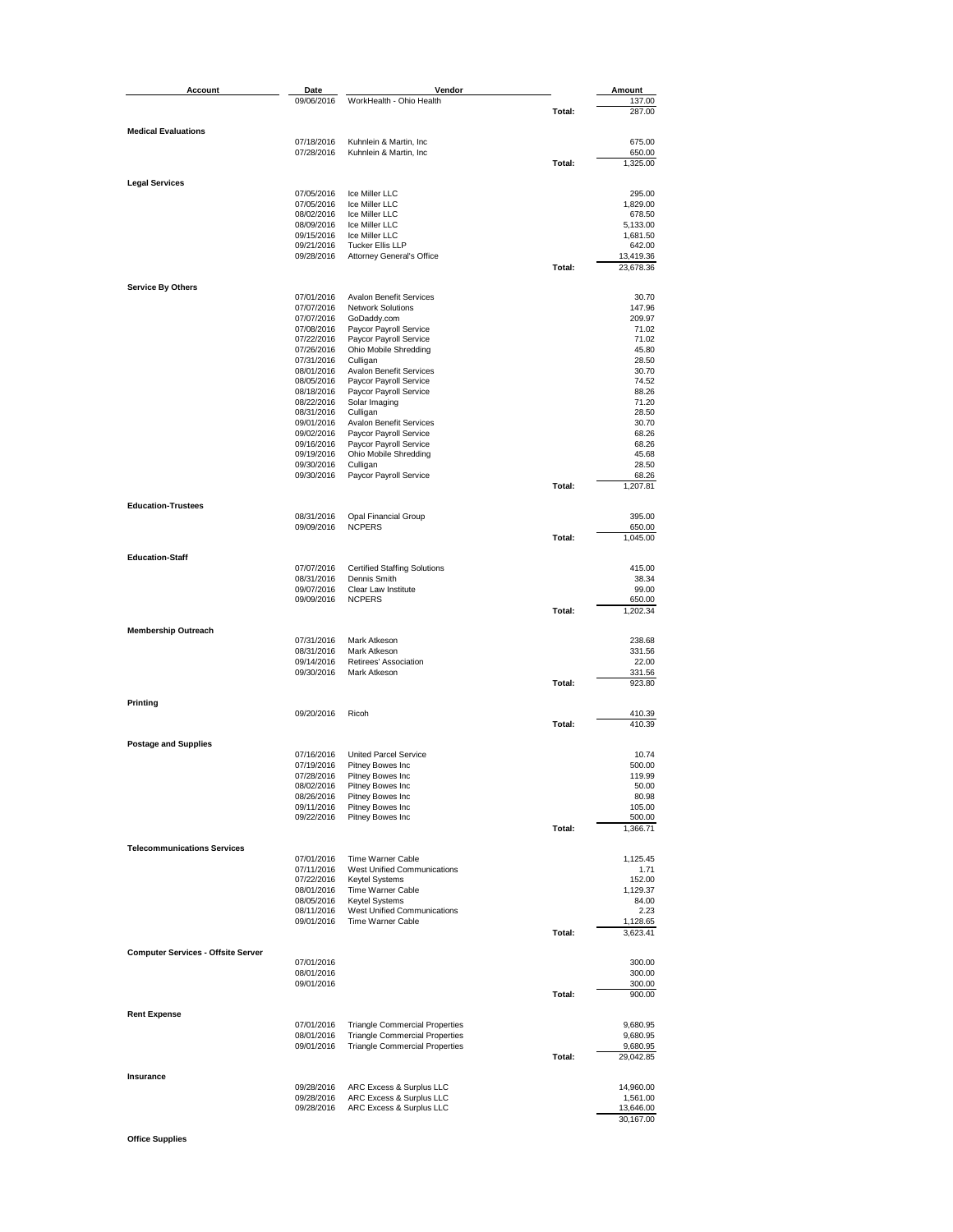| Account                                   | Date                     | Vendor                                               |        | Amount                 |
|-------------------------------------------|--------------------------|------------------------------------------------------|--------|------------------------|
|                                           | 09/06/2016               | WorkHealth - Ohio Health                             |        | 137.00                 |
|                                           |                          |                                                      | Total: | 287.00                 |
|                                           |                          |                                                      |        |                        |
| <b>Medical Evaluations</b>                | 07/18/2016               | Kuhnlein & Martin, Inc                               |        | 675.00                 |
|                                           | 07/28/2016               | Kuhnlein & Martin, Inc.                              |        | 650.00                 |
|                                           |                          |                                                      | Total: | 1,325.00               |
|                                           |                          |                                                      |        |                        |
| <b>Legal Services</b>                     | 07/05/2016               |                                                      |        |                        |
|                                           | 07/05/2016               | Ice Miller LLC<br>Ice Miller LLC                     |        | 295.00<br>1,829.00     |
|                                           | 08/02/2016               | Ice Miller LLC                                       |        | 678.50                 |
|                                           | 08/09/2016               | Ice Miller LLC                                       |        | 5,133.00               |
|                                           | 09/15/2016               | Ice Miller LLC                                       |        | 1,681.50               |
|                                           | 09/21/2016               | <b>Tucker Ellis LLP</b>                              |        | 642.00                 |
|                                           | 09/28/2016               | <b>Attorney General's Office</b>                     | Total: | 13,419.36<br>23,678.36 |
|                                           |                          |                                                      |        |                        |
| <b>Service By Others</b>                  |                          |                                                      |        |                        |
|                                           | 07/01/2016               | <b>Avalon Benefit Services</b>                       |        | 30.70                  |
|                                           | 07/07/2016<br>07/07/2016 | <b>Network Solutions</b>                             |        | 147.96<br>209.97       |
|                                           | 07/08/2016               | GoDaddy.com<br>Paycor Payroll Service                |        | 71.02                  |
|                                           | 07/22/2016               | Paycor Payroll Service                               |        | 71.02                  |
|                                           | 07/26/2016               | Ohio Mobile Shredding                                |        | 45.80                  |
|                                           | 07/31/2016               | Culligan                                             |        | 28.50                  |
|                                           | 08/01/2016               | <b>Avalon Benefit Services</b>                       |        | 30.70                  |
|                                           | 08/05/2016<br>08/18/2016 | Paycor Payroll Service<br>Paycor Payroll Service     |        | 74.52<br>88.26         |
|                                           | 08/22/2016               | Solar Imaging                                        |        | 71.20                  |
|                                           | 08/31/2016               | Culligan                                             |        | 28.50                  |
|                                           | 09/01/2016               | <b>Avalon Benefit Services</b>                       |        | 30.70                  |
|                                           | 09/02/2016               | Paycor Payroll Service                               |        | 68.26                  |
|                                           | 09/16/2016<br>09/19/2016 | Paycor Payroll Service<br>Ohio Mobile Shredding      |        | 68.26<br>45.68         |
|                                           | 09/30/2016               | Culligan                                             |        | 28.50                  |
|                                           | 09/30/2016               | Paycor Payroll Service                               |        | 68.26                  |
|                                           |                          |                                                      | Total: | 1,207.81               |
|                                           |                          |                                                      |        |                        |
| <b>Education-Trustees</b>                 | 08/31/2016               | <b>Opal Financial Group</b>                          |        | 395.00                 |
|                                           | 09/09/2016               | <b>NCPERS</b>                                        |        | 650.00                 |
|                                           |                          |                                                      | Total: | 1,045.00               |
|                                           |                          |                                                      |        |                        |
| <b>Education-Staff</b>                    |                          |                                                      |        |                        |
|                                           | 07/07/2016<br>08/31/2016 | <b>Certified Staffing Solutions</b><br>Dennis Smith  |        | 415.00<br>38.34        |
|                                           | 09/07/2016               | Clear Law Institute                                  |        | 99.00                  |
|                                           | 09/09/2016               | <b>NCPERS</b>                                        |        | 650.00                 |
|                                           |                          |                                                      | Total: | 1,202.34               |
|                                           |                          |                                                      |        |                        |
| <b>Membership Outreach</b>                | 07/31/2016               | Mark Atkeson                                         |        | 238.68                 |
|                                           | 08/31/2016               | Mark Atkeson                                         |        | 331.56                 |
|                                           | 09/14/2016               | Retirees' Association                                |        | 22.00                  |
|                                           | 09/30/2016               | Mark Atkeson                                         |        | 331.56                 |
|                                           |                          |                                                      | Total: | 923.80                 |
| Printing                                  |                          |                                                      |        |                        |
|                                           | 09/20/2016               | Ricoh                                                |        | 410.39                 |
|                                           |                          |                                                      | Total: | 410.39                 |
|                                           |                          |                                                      |        |                        |
| <b>Postage and Supplies</b>               | 07/16/2016               | <b>United Parcel Service</b>                         |        | 10.74                  |
|                                           | 07/19/2016               | Pitney Bowes Inc                                     |        | 500.00                 |
|                                           | 07/28/2016               | Pitney Bowes Inc                                     |        | 119.99                 |
|                                           | 08/02/2016               | Pitney Bowes Inc                                     |        | 50.00                  |
|                                           | 08/26/2016               | Pitney Bowes Inc                                     |        | 80.98                  |
|                                           | 09/11/2016<br>09/22/2016 | Pitney Bowes Inc<br>Pitney Bowes Inc                 |        | 105.00<br>500.00       |
|                                           |                          |                                                      | Total: | 1,366.71               |
|                                           |                          |                                                      |        |                        |
| <b>Telecommunications Services</b>        |                          |                                                      |        |                        |
|                                           | 07/01/2016<br>07/11/2016 | Time Warner Cable<br>West Unified Communications     |        | 1,125.45<br>1.71       |
|                                           | 07/22/2016               | Keytel Systems                                       |        | 152.00                 |
|                                           | 08/01/2016               | Time Warner Cable                                    |        | 1,129.37               |
|                                           | 08/05/2016               | <b>Keytel Systems</b>                                |        | 84.00                  |
|                                           | 08/11/2016               | <b>West Unified Communications</b>                   |        | 2.23                   |
|                                           | 09/01/2016               | Time Warner Cable                                    | Total: | 1,128.65               |
|                                           |                          |                                                      |        | 3,623.41               |
| <b>Computer Services - Offsite Server</b> |                          |                                                      |        |                        |
|                                           | 07/01/2016               |                                                      |        | 300.00                 |
|                                           | 08/01/2016               |                                                      |        | 300.00                 |
|                                           | 09/01/2016               |                                                      | Total: | 300.00                 |
|                                           |                          |                                                      |        | 900.00                 |
| <b>Rent Expense</b>                       |                          |                                                      |        |                        |
|                                           | 07/01/2016               | <b>Triangle Commercial Properties</b>                |        | 9,680.95               |
|                                           | 08/01/2016               | <b>Triangle Commercial Properties</b>                |        | 9,680.95               |
|                                           | 09/01/2016               | <b>Triangle Commercial Properties</b>                | Total: | 9,680.95<br>29,042.85  |
|                                           |                          |                                                      |        |                        |
| Insurance                                 |                          |                                                      |        |                        |
|                                           | 09/28/2016               | ARC Excess & Surplus LLC                             |        | 14,960.00              |
|                                           | 09/28/2016<br>09/28/2016 | ARC Excess & Surplus LLC<br>ARC Excess & Surplus LLC |        | 1,561.00<br>13,646.00  |
|                                           |                          |                                                      |        | 30,167.00              |

**Office Supplies**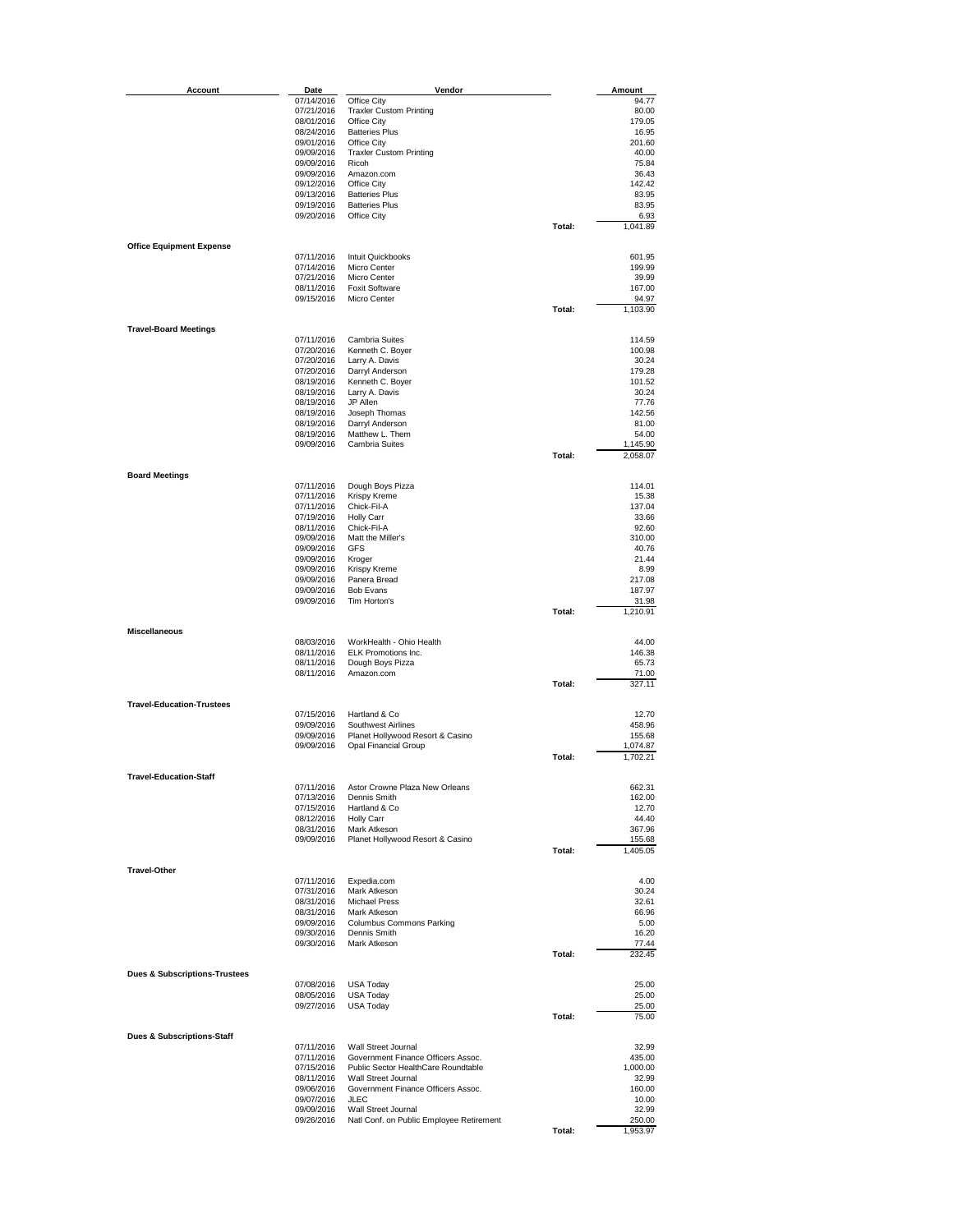| <b>Account</b>                           | Date                     | Vendor                                                     |        | Amount             |
|------------------------------------------|--------------------------|------------------------------------------------------------|--------|--------------------|
|                                          | 07/14/2016               | Office City                                                |        | 94.77              |
|                                          | 07/21/2016               | <b>Traxler Custom Printing</b>                             |        | 80.00              |
|                                          | 08/01/2016               | Office City                                                |        | 179.05             |
|                                          | 08/24/2016               | <b>Batteries Plus</b>                                      |        | 16.95              |
|                                          | 09/01/2016<br>09/09/2016 | Office City<br><b>Traxler Custom Printing</b>              |        | 201.60<br>40.00    |
|                                          | 09/09/2016               | Ricoh                                                      |        | 75.84              |
|                                          | 09/09/2016               | Amazon.com                                                 |        | 36.43              |
|                                          | 09/12/2016               | Office City                                                |        | 142.42             |
|                                          | 09/13/2016               | <b>Batteries Plus</b>                                      |        | 83.95              |
|                                          | 09/19/2016<br>09/20/2016 | <b>Batteries Plus</b><br>Office City                       |        | 83.95<br>6.93      |
|                                          |                          |                                                            | Total: | 1,041.89           |
|                                          |                          |                                                            |        |                    |
| <b>Office Equipment Expense</b>          |                          |                                                            |        |                    |
|                                          | 07/11/2016<br>07/14/2016 | Intuit Quickbooks<br>Micro Center                          |        | 601.95<br>199.99   |
|                                          | 07/21/2016               | Micro Center                                               |        | 39.99              |
|                                          | 08/11/2016               | <b>Foxit Software</b>                                      |        | 167.00             |
|                                          | 09/15/2016               | Micro Center                                               |        | 94.97              |
|                                          |                          |                                                            | Total: | 1,103.90           |
| <b>Travel-Board Meetings</b>             |                          |                                                            |        |                    |
|                                          | 07/11/2016               | Cambria Suites                                             |        | 114.59             |
|                                          | 07/20/2016               | Kenneth C. Boyer                                           |        | 100.98             |
|                                          | 07/20/2016               | Larry A. Davis<br>Darryl Anderson                          |        | 30.24              |
|                                          | 07/20/2016<br>08/19/2016 | Kenneth C. Boyer                                           |        | 179.28<br>101.52   |
|                                          | 08/19/2016               | Larry A. Davis                                             |        | 30.24              |
|                                          | 08/19/2016               | JP Allen                                                   |        | 77.76              |
|                                          | 08/19/2016               | Joseph Thomas                                              |        | 142.56             |
|                                          | 08/19/2016<br>08/19/2016 | Darryl Anderson<br>Matthew L. Them                         |        | 81.00<br>54.00     |
|                                          | 09/09/2016               | <b>Cambria Suites</b>                                      |        | 1,145.90           |
|                                          |                          |                                                            | Total: | 2,058.07           |
|                                          |                          |                                                            |        |                    |
| <b>Board Meetings</b>                    | 07/11/2016               | Dough Boys Pizza                                           |        | 114.01             |
|                                          | 07/11/2016               | Krispy Kreme                                               |        | 15.38              |
|                                          | 07/11/2016               | Chick-Fil-A                                                |        | 137.04             |
|                                          | 07/19/2016               | <b>Holly Carr</b>                                          |        | 33.66              |
|                                          | 08/11/2016               | Chick-Fil-A<br>Matt the Miller's                           |        | 92.60<br>310.00    |
|                                          | 09/09/2016<br>09/09/2016 | <b>GFS</b>                                                 |        | 40.76              |
|                                          | 09/09/2016               | Kroger                                                     |        | 21.44              |
|                                          | 09/09/2016               | Krispy Kreme                                               |        | 8.99               |
|                                          | 09/09/2016               | Panera Bread                                               |        | 217.08             |
|                                          | 09/09/2016<br>09/09/2016 | <b>Bob Evans</b><br>Tim Horton's                           |        | 187.97<br>31.98    |
|                                          |                          |                                                            | Total: | 1,210.91           |
|                                          |                          |                                                            |        |                    |
| <b>Miscellaneous</b>                     |                          |                                                            |        |                    |
|                                          | 08/03/2016<br>08/11/2016 | WorkHealth - Ohio Health<br>ELK Promotions Inc.            |        | 44.00<br>146.38    |
|                                          | 08/11/2016               | Dough Boys Pizza                                           |        | 65.73              |
|                                          | 08/11/2016               | Amazon.com                                                 |        | 71.00              |
|                                          |                          |                                                            | Total: | 327.11             |
| <b>Travel-Education-Trustees</b>         |                          |                                                            |        |                    |
|                                          | 07/15/2016               | Hartland & Co                                              |        | 12.70              |
|                                          | 09/09/2016               | Southwest Airlines                                         |        | 458.96             |
|                                          | 09/09/2016               | Planet Hollywood Resort & Casino                           |        | 155.68             |
|                                          | 09/09/2016               | Opal Financial Group                                       |        | 1,074.87           |
|                                          |                          |                                                            | Total: | 1,702.21           |
| <b>Travel-Education-Staff</b>            |                          |                                                            |        |                    |
|                                          | 07/11/2016               | Astor Crowne Plaza New Orleans                             |        | 662.31             |
|                                          | 07/13/2016               | Dennis Smith                                               |        | 162.00             |
|                                          | 07/15/2016<br>08/12/2016 | Hartland & Co<br><b>Holly Carr</b>                         |        | 12.70<br>44.40     |
|                                          | 08/31/2016               | Mark Atkeson                                               |        | 367.96             |
|                                          | 09/09/2016               | Planet Hollywood Resort & Casino                           |        | 155.68             |
|                                          |                          |                                                            | Total: | 1,405.05           |
| <b>Travel-Other</b>                      |                          |                                                            |        |                    |
|                                          | 07/11/2016               | Expedia.com                                                |        | 4.00               |
|                                          | 07/31/2016               | Mark Atkeson                                               |        | 30.24              |
|                                          | 08/31/2016               | <b>Michael Press</b>                                       |        | 32.61              |
|                                          | 08/31/2016<br>09/09/2016 | Mark Atkeson<br>Columbus Commons Parking                   |        | 66.96<br>5.00      |
|                                          | 09/30/2016               | Dennis Smith                                               |        | 16.20              |
|                                          | 09/30/2016               | Mark Atkeson                                               |        | 77.44              |
|                                          |                          |                                                            | Total: | 232.45             |
| <b>Dues &amp; Subscriptions Trustees</b> |                          |                                                            |        |                    |
|                                          | 07/08/2016               | <b>USA Today</b>                                           |        | 25.00              |
|                                          | 08/05/2016               | <b>USA Today</b>                                           |        | 25.00              |
|                                          | 09/27/2016               | <b>USA Today</b>                                           |        | 25.00              |
|                                          |                          |                                                            | Total: | 75.00              |
| Dues & Subscriptions-Staff               |                          |                                                            |        |                    |
|                                          | 07/11/2016               | Wall Street Journal                                        |        | 32.99              |
|                                          | 07/11/2016               | Government Finance Officers Assoc.                         |        | 435.00             |
|                                          | 07/15/2016<br>08/11/2016 | Public Sector HealthCare Roundtable<br>Wall Street Journal |        | 1,000.00<br>32.99  |
|                                          | 09/06/2016               | Government Finance Officers Assoc.                         |        | 160.00             |
|                                          | 09/07/2016               | JLEC                                                       |        | 10.00              |
|                                          | 09/09/2016               | Wall Street Journal                                        |        | 32.99              |
|                                          | 09/26/2016               | Natl Conf. on Public Employee Retirement                   | Total: | 250.00<br>1,953.97 |
|                                          |                          |                                                            |        |                    |